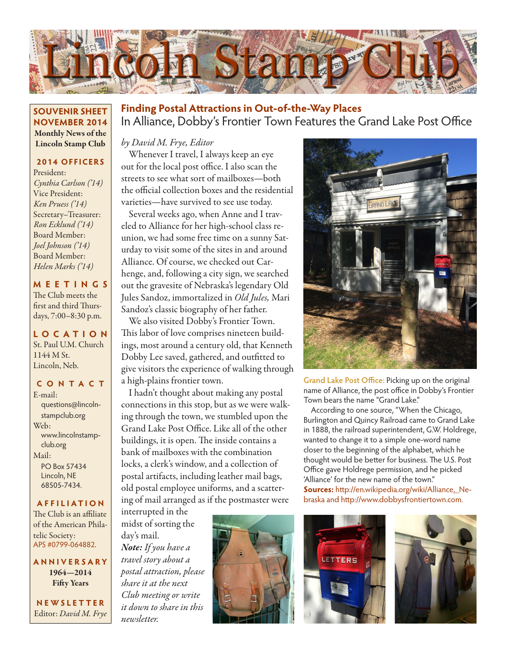

## **SOUVENIR SHEET NOVEMBER 2014** Monthly News of the Lincoln Stamp Club

#### **2014 OFFICERS**

President: *Cynthia Carlson ('14)* Vice President: *Ken Pruess ('14)* Secretary–Treasurer: *Ron Ecklund ('14)* Board Member: *Joel Johnson ('14)* Board Member: *Helen Marks ('14)*

**MEETINGS** The Club meets the first and third Thursdays, 7:00–8:30 p.m.

## **LO C ATI O N** St. Paul U.M. Church 1144 M St. Lincoln, Neb.

## **CONTACT**

E-mail: questions@lincolnstampclub.org Web: www.lincolnstampclub.org Mail: PO Box 57434 Lincoln, NE 68505-7434.

#### **AFFI LIATI O N**

The Club is an affiliate of the American Philatelic Society: APS #0799-064882.

**ANNIVERSARY** 1964—2014 Fifty Years

**NEWSLETTER** Editor: *David M. Frye*

## In Alliance, Dobby's Frontier Town Features the Grand Lake Post Office **Finding Postal Attractions in Out-of-the-Way Places**

#### *by David M. Frye, Editor*

Whenever I travel, I always keep an eye out for the local post office. I also scan the streets to see what sort of mailboxes—both the official collection boxes and the residential varieties—have survived to see use today.

Several weeks ago, when Anne and I traveled to Alliance for her high-school class reunion, we had some free time on a sunny Saturday to visit some of the sites in and around Alliance. Of course, we checked out Carhenge, and, following a city sign, we searched out the gravesite of Nebraska's legendary Old Jules Sandoz, immortalized in *Old Jules,* Mari Sandoz's classic biography of her father.

We also visited Dobby's Frontier Town. This labor of love comprises nineteen buildings, most around a century old, that Kenneth Dobby Lee saved, gathered, and outfitted to give visitors the experience of walking through a high-plains frontier town.

I hadn't thought about making any postal connections in this stop, but as we were walking through the town, we stumbled upon the Grand Lake Post Office. Like all of the other buildings, it is open. The inside contains a bank of mailboxes with the combination locks, a clerk's window, and a collection of postal artifacts, including leather mail bags, old postal employee uniforms, and a scattering of mail arranged as if the postmaster were

interrupted in the midst of sorting the day's mail. *Note: If you have a travel story about a postal attraction, please share it at the next Club meeting or write it down to share in this newsletter.*





**Grand Lake Post Office:** Picking up on the original name of Alliance, the post office in Dobby's Frontier Town bears the name "Grand Lake."

According to one source, "When the Chicago, Burlington and Quincy Railroad came to Grand Lake in 1888, the railroad superintendent, G.W. Holdrege, wanted to change it to a simple one-word name closer to the beginning of the alphabet, which he thought would be better for business. The U.S. Post Office gave Holdrege permission, and he picked 'Alliance' for the new name of the town." **Sources:** http://en.wikipedia.org/wiki/Alliance,\_Nebraska and http://www.dobbysfrontiertown.com.



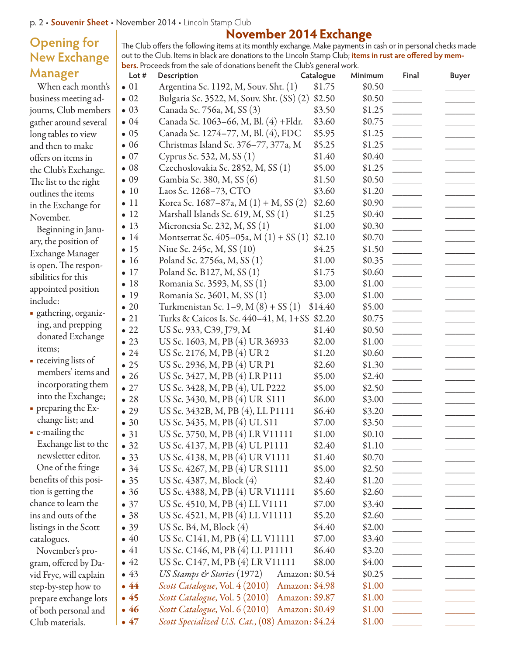## **Opening for New Exchange Manager**

When each month's business meeting adjourns, Club members gather around several long tables to view and then to make offers on items in the Club's Exchange. The list to the right outlines the items in the Exchange for November.

- Beginning in January, the position of Exchange Manager is open. The responsibilities for this appointed position include:
- **■** gathering, organizing, and prepping donated Exchange items;
- **■** receiving lists of members' items and incorporating them into the Exchange;
- **■** preparing the Exchange list; and
- **■** e-mailing the Exchange list to the newsletter editor.

One of the fringe benefits of this position is getting the chance to learn the ins and outs of the listings in the Scott catalogues.

November's program, offered by David Frye, will explain step-by-step how to prepare exchange lots of both personal and Club materials.

## **November 2014 Exchange** The Club offers the following items at its monthly exchange. Make payments in cash or in personal checks made out to the Club. Items in black are donations to the Lincoln Stamp Club; **items in rust are offered by mem-**

|                                                                            | out to the club; hemp in plack are donations to the Entern stamp club; hemp in research on our py mem |           |         |       |              |  |  |  |  |
|----------------------------------------------------------------------------|-------------------------------------------------------------------------------------------------------|-----------|---------|-------|--------------|--|--|--|--|
| bers. Proceeds from the sale of donations benefit the Club's general work. |                                                                                                       |           |         |       |              |  |  |  |  |
| Lot #                                                                      | Description                                                                                           | Catalogue | Minimum | Final | <b>Buyer</b> |  |  |  |  |
| $\bullet$ 01                                                               | Argentina Sc. 1192, M, Souv. Sht. (1)                                                                 | \$1.75    | \$0.50  |       |              |  |  |  |  |
| $\bullet$ 02                                                               | Bulgaria Sc. 3522, M, Souv. Sht. (SS) (2) \$2.50                                                      |           | \$0.50  |       |              |  |  |  |  |
| $\bullet$ 03                                                               | Canada Sc. 756a, M, SS (3)                                                                            | \$3.50    | \$1.25  |       |              |  |  |  |  |
| $\bullet$ 04                                                               | Canada Sc. 1063-66, M, Bl. (4) + Fldr.                                                                | \$3.60    | \$0.75  |       |              |  |  |  |  |
| $\bullet$ 05                                                               | Canada Sc. 1274–77, M, Bl. (4), FDC                                                                   | \$5.95    | \$1.25  |       |              |  |  |  |  |
|                                                                            |                                                                                                       |           |         |       |              |  |  |  |  |

| $\bullet$ 05 | Canada Sc. 1274–77, M, Bl. (4), FDC           | \$5.95         | \$1.25 |                          |  |
|--------------|-----------------------------------------------|----------------|--------|--------------------------|--|
|              |                                               |                |        |                          |  |
| $\bullet$ 06 | Christmas Island Sc. 376–77, 377a, M          | \$5.25         | \$1.25 |                          |  |
| $\bullet$ 07 | Cyprus Sc. 532, M, SS (1)                     | \$1.40         | \$0.40 |                          |  |
| $\bullet$ 08 | Czechoslovakia Sc. 2852, M, SS (1)            | \$5.00         | \$1.25 |                          |  |
| $\bullet$ 09 | Gambia Sc. 380, M, SS (6)                     | \$1.50         | \$0.50 |                          |  |
| $\bullet$ 10 | Laos Sc. 1268-73, CTO                         | \$3.60         | \$1.20 |                          |  |
| $\bullet$ 11 | Korea Sc. 1687–87a, M (1) + M, SS (2)         | \$2.60         | \$0.90 |                          |  |
| $\bullet$ 12 | Marshall Islands Sc. 619, M, SS (1)           | \$1.25         | \$0.40 |                          |  |
| $\bullet$ 13 | Micronesia Sc. 232, M, SS (1)                 | \$1.00         | \$0.30 |                          |  |
| $\bullet$ 14 | Montserrat Sc. 405–05a, M $(1) + SS(1)$       | \$2.10         | \$0.70 |                          |  |
| $\bullet$ 15 | Niue Sc. 245c, M, SS (10)                     | \$4.25         | \$1.50 |                          |  |
| $\bullet$ 16 | Poland Sc. 2756a, M, SS (1)                   | \$1.00         | \$0.35 |                          |  |
| $\bullet$ 17 | Poland Sc. B127, M, SS (1)                    | \$1.75         | \$0.60 |                          |  |
| •18          | Romania Sc. 3593, M, SS (1)                   | \$3.00         | \$1.00 |                          |  |
| $\bullet$ 19 | Romania Sc. 3601, M, SS (1)                   | \$3.00         | \$1.00 |                          |  |
| $\bullet$ 20 | Turkmenistan Sc. 1–9, M $(8) + SS(1)$         | \$14.40        | \$5.00 |                          |  |
| $\bullet$ 21 | Turks & Caicos Is. Sc. 440-41, M, 1+SS \$2.20 |                | \$0.75 |                          |  |
| $\bullet$ 22 | US Sc. 933, C39, J79, M                       | \$1.40         | \$0.50 |                          |  |
| $\bullet$ 23 | US Sc. 1603, M, PB (4) UR 36933               | \$2.00         | \$1.00 |                          |  |
| $\bullet$ 24 | US Sc. 2176, M, PB (4) UR 2                   | \$1.20         | \$0.60 |                          |  |
| $\bullet$ 25 | US Sc. 2936, M, PB (4) UR P1                  | \$2.60         | \$1.30 |                          |  |
| $\bullet$ 26 | US Sc. 3427, M, PB (4) LR P111                | \$5.00         | \$2.40 |                          |  |
| $\bullet$ 27 | US Sc. 3428, M, PB (4), UL P222               | \$5.00         | \$2.50 |                          |  |
| $\bullet$ 28 | US Sc. 3430, M, PB (4) UR S111                | \$6.00         | \$3.00 |                          |  |
| $\bullet$ 29 | US Sc. 3432B, M, PB (4), LL P1111             | \$6.40         | \$3.20 |                          |  |
| $\bullet$ 30 | US Sc. 3435, M, PB (4) UL S11                 | \$7.00         | \$3.50 |                          |  |
| • 31         | US Sc. 3750, M, PB (4) LR V11111              | \$1.00         | \$0.10 |                          |  |
| • 32         | US Sc. 4137, M, PB (4) UL P1111               | \$2.40         | \$1.10 |                          |  |
| • 33         | US Sc. 4138, M, PB (4) UR V1111               | \$1.40         | \$0.70 |                          |  |
| $\bullet$ 34 | US Sc. 4267, M, PB (4) UR S1111               | \$5.00         | \$2.50 |                          |  |
| • 35         | US Sc. 4387, M, Block (4)                     | \$2.40         | \$1.20 |                          |  |
| •36          | US Sc. 4388, M, PB (4) UR V11111              | \$5.60         | \$2.60 |                          |  |
| $\bullet$ 37 | US Sc. 4510, M, PB (4) LL V1111               | \$7.00         | \$3.40 |                          |  |
| •38          | US Sc. 4521, M, PB (4) LL V11111              | \$5.20         | \$2.60 |                          |  |
| • 39         | US Sc. B4, M, Block (4)                       | \$4.40         | \$2.00 |                          |  |
| $\bullet$ 40 | US Sc. C141, M, PB (4) LL V11111              | \$7.00         | \$3.40 |                          |  |
| $\bullet$ 41 | US Sc. C146, M, PB (4) LL P11111              | \$6.40         | \$3.20 |                          |  |
| $\bullet$ 42 | US Sc. C147, M, PB (4) LR V11111              | \$8.00         | \$4.00 |                          |  |
| $\bullet$ 43 | US Stamps & Stories (1972)                    | Amazon: \$0.54 | \$0.25 | $\overline{\phantom{a}}$ |  |
| $\bullet$ 44 | Scott Catalogue, Vol. 4 (2010)                | Amazon: \$4.98 | \$1.00 | $\overline{\phantom{a}}$ |  |
| •45          | Scott Catalogue, Vol. 5 (2010)                | Amazon: \$9.87 | \$1.00 | <b>Contract Contract</b> |  |
| $\bullet$ 46 | Scott Catalogue, Vol. 6 (2010)                | Amazon: \$0.49 | \$1.00 |                          |  |

•  $47$  *Scott Specialized U.S. Cat.*,  $(08)$  Amazon:  $$4.24$   $$1.00$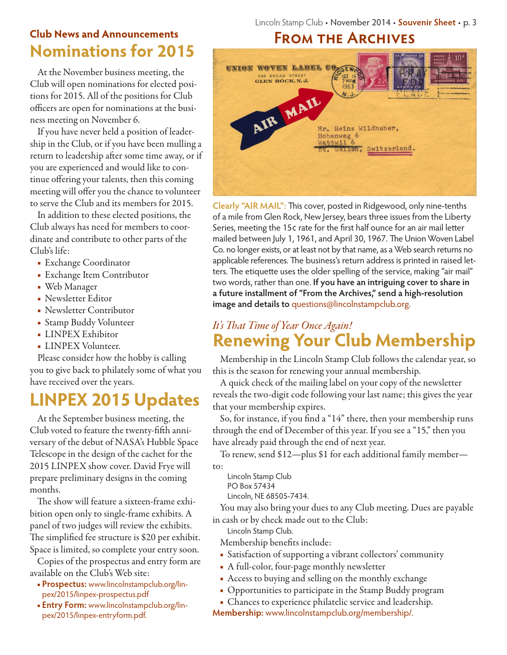## **Nominations for 2015 Club News and Announcements**

At the November business meeting, the Club will open nominations for elected positions for 2015. All of the positions for Club officers are open for nominations at the business meeting on November 6.

If you have never held a position of leadership in the Club, or if you have been mulling a return to leadership after some time away, or if you are experienced and would like to continue offering your talents, then this coming meeting will offer you the chance to volunteer to serve the Club and its members for 2015.

In addition to these elected positions, the Club always has need for members to coordinate and contribute to other parts of the Club's life:

- **■** Exchange Coordinator
- **■** Exchange Item Contributor
- **■** Web Manager
- **■** Newsletter Editor
- **■** Newsletter Contributor
- **■** Stamp Buddy Volunteer
- **■** LINPEX Exhibitor
- **■** LINPEX Volunteer.

Please consider how the hobby is calling you to give back to philately some of what you have received over the years.

# **LINPEX 2015 Updates**

At the September business meeting, the Club voted to feature the twenty-fifth anniversary of the debut of NASA's Hubble Space Telescope in the design of the cachet for the 2015 LINPEX show cover. David Frye will prepare preliminary designs in the coming months.

The show will feature a sixteen-frame exhibition open only to single-frame exhibits. A panel of two judges will review the exhibits. The simplified fee structure is \$20 per exhibit. Space is limited, so complete your entry soon.

Copies of the prospectus and entry form are available on the Club's Web site:

- **Prospectus:** www.lincolnstampclub.org/linpex/2015/linpex-prospectus.pdf
- **Entry Form:** www.lincolnstampclub.org/linpex/2015/linpex-entryform.pdf.

# **From the Archives**



**Clearly "AIR MAIL":** This cover, posted in Ridgewood, only nine-tenths of a mile from Glen Rock, New Jersey, bears three issues from the Liberty Series, meeting the 15¢ rate for the first half ounce for an air mail letter mailed between July 1, 1961, and April 30, 1967. The Union Woven Label Co. no longer exists, or at least not by that name, as a Web search returns no applicable references. The business's return address is printed in raised letters. The etiquette uses the older spelling of the service, making "air mail" two words, rather than one. **If you have an intriguing cover to share in a future installment of "From the Archives," send a high-resolution image and details to** questions@lincolnstampclub.org.

## **Renewing Your Club Membership** *It's That Time of Year Once Again!*

Membership in the Lincoln Stamp Club follows the calendar year, so this is the season for renewing your annual membership.

A quick check of the mailing label on your copy of the newsletter reveals the two-digit code following your last name; this gives the year that your membership expires.

So, for instance, if you find a "14" there, then your membership runs through the end of December of this year. If you see a "15," then you have already paid through the end of next year.

To renew, send \$12—plus \$1 for each additional family member to:

Lincoln Stamp Club

PO Box 57434

Lincoln, NE 68505-7434.

You may also bring your dues to any Club meeting. Dues are payable in cash or by check made out to the Club:

Lincoln Stamp Club.

Membership benefits include:

- **■** Satisfaction of supporting a vibrant collectors' community
- **■** A full-color, four-page monthly newsletter
- **■** Access to buying and selling on the monthly exchange
- **■** Opportunities to participate in the Stamp Buddy program
- **■** Chances to experience philatelic service and leadership.
- **Membership:** www.lincolnstampclub.org/membership/.